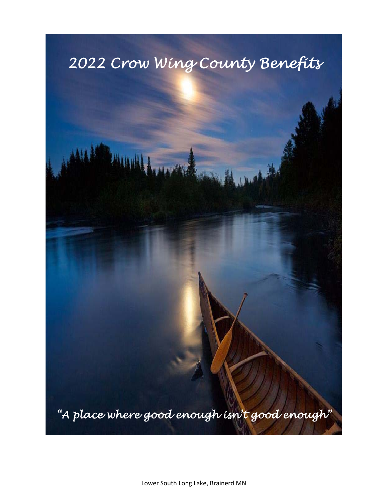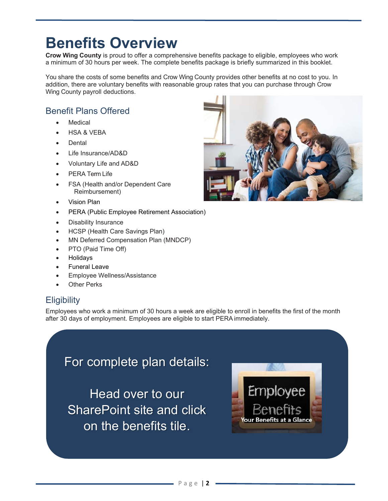## **Benefits Overview**

**Crow Wing County** is proud to offer a comprehensive benefits package to eligible, employees who work a minimum of 30 hours per week. The complete benefits package is briefly summarized in this booklet.

You share the costs of some benefits and Crow Wing County provides other benefits at no cost to you. In addition, there are voluntary benefits with reasonable group rates that you can purchase through Crow Wing County payroll deductions.

### Benefit Plans Offered

- Medical
- HSA & VEBA
- Dental
- Life Insurance/AD&D
- Voluntary Life and AD&D
- PERA Term Life
- FSA (Health and/or Dependent Care Reimbursement)
- Vision Plan
- PERA (Public Employee Retirement Association)
- Disability Insurance
- HCSP (Health Care Savings Plan)
- MN Deferred Compensation Plan (MNDCP)
- PTO (Paid Time Off)

 *<b><i>a <b> <i><b>* 

- Holidays
- Funeral Leave
- Employee Wellness/Assistance
- Other Perks

## **Eligibility**

Employees who work a minimum of 30 hours a week are eligible to enroll in benefits the first of the month after 30 days of employment. Employees are eligible to start PERA immediately.

For complete plan details:

Head over to our SharePoint site and click on the benefits tile.



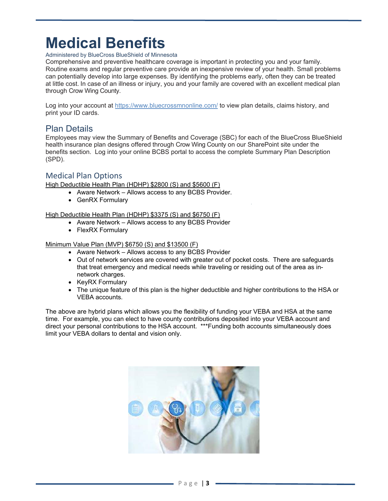# **Medical Benefits**

#### Administered by BlueCross BlueShield of Minnesota

Comprehensive and preventive healthcare coverage is important in protecting you and your family. Routine exams and regular preventive care provide an inexpensive review of your health. Small problems can potentially develop into large expenses. By identifying the problems early, often they can be treated at little cost. In case of an illness or injury, you and your family are covered with an excellent medical plan through Crow Wing County.

Log into your account at https://www.bluecrossmnonline.com/ to view plan details, claims history, and print your ID cards.

#### Plan Details

Employees may view the Summary of Benefits and Coverage (SBC) for each of the BlueCross BlueShield health insurance plan designs offered through Crow Wing County on our SharePoint site under the benefits section. Log into your online BCBS portal to access the complete Summary Plan Description (SPD).

#### Medical Plan Options

High Deductible Health Plan (HDHP) \$2800 (S) and \$5600 (F)

- Aware Network Allows access to any BCBS Provider.
- GenRX Formulary

High Deductible Health Plan (HDHP) \$3375 (S) and \$6750 (F)

- Aware Network Allows access to any BCBS Provider
- FlexRX Formulary

#### Minimum Value Plan (MVP) \$6750 (S) and \$13500 (F)

- Aware Network Allows access to any BCBS Provider
- Out of network services are covered with greater out of pocket costs. There are safeguards that treat emergency and medical needs while traveling or residing out of the area as innetwork charges.
- KeyRX Formulary
- The unique feature of this plan is the higher deductible and higher contributions to the HSA or VEBA accounts.

The above are hybrid plans which allows you the flexibility of funding your VEBA and HSA at the same time. For example, you can elect to have county contributions deposited into your VEBA account and direct your personal contributions to the HSA account. \*\*\*Funding both accounts simultaneously does limit your VEBA dollars to dental and vision only.

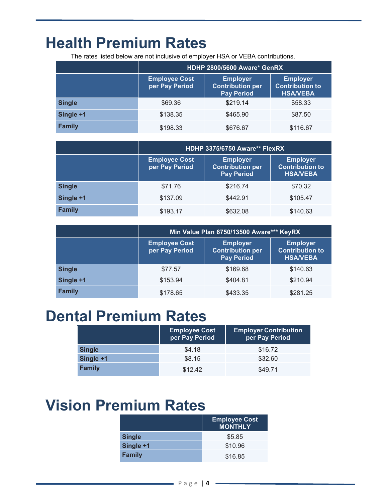## **Health Premium Rates**

The rates listed below are not inclusive of employer HSA or VEBA contributions.

|               | HDHP 2800/5600 Aware* GenRX            |                                                                 |                                                              |
|---------------|----------------------------------------|-----------------------------------------------------------------|--------------------------------------------------------------|
|               | <b>Employee Cost</b><br>per Pay Period | <b>Employer</b><br><b>Contribution per</b><br><b>Pay Period</b> | <b>Employer</b><br><b>Contribution to</b><br><b>HSA/VEBA</b> |
| <b>Single</b> | \$69.36                                | \$219.14                                                        | \$58.33                                                      |
| Single +1     | \$138.35                               | \$465.90                                                        | \$87.50                                                      |
| <b>Family</b> | \$198.33                               | \$676.67                                                        | \$116.67                                                     |

|               | HDHP 3375/6750 Aware** FlexRX                                                                                                                                             |          |          |
|---------------|---------------------------------------------------------------------------------------------------------------------------------------------------------------------------|----------|----------|
|               | <b>Employee Cost</b><br><b>Employer</b><br><b>Employer</b><br>per Pay Period<br><b>Contribution per</b><br><b>Contribution to</b><br><b>Pay Period</b><br><b>HSA/VEBA</b> |          |          |
| <b>Single</b> | \$71.76                                                                                                                                                                   | \$216.74 | \$70.32  |
| Single +1     | \$137.09                                                                                                                                                                  | \$442.91 | \$105.47 |
| <b>Family</b> | \$193.17                                                                                                                                                                  | \$632.08 | \$140.63 |

|               | Min Value Plan 6750/13500 Aware*** KeyRX                                                                                                                                  |          |          |  |
|---------------|---------------------------------------------------------------------------------------------------------------------------------------------------------------------------|----------|----------|--|
|               | <b>Employee Cost</b><br><b>Employer</b><br><b>Employer</b><br>per Pay Period<br><b>Contribution to</b><br><b>Contribution per</b><br><b>Pay Period</b><br><b>HSA/VEBA</b> |          |          |  |
| <b>Single</b> | \$77.57                                                                                                                                                                   | \$169.68 | \$140.63 |  |
| Single +1     | \$153.94                                                                                                                                                                  | \$404.81 | \$210.94 |  |
| <b>Family</b> | \$178.65                                                                                                                                                                  | \$433.35 | \$281.25 |  |

## **Dental Premium Rates**

|               | <b>Employee Cost</b><br>per Pay Period | <b>Employer Contribution</b><br>per Pay Period |
|---------------|----------------------------------------|------------------------------------------------|
| <b>Single</b> | \$4.18                                 | \$16.72                                        |
| Single +1     | \$8.15                                 | \$32.60                                        |
| <b>Family</b> | \$12.42                                | \$49.71                                        |

## **Vision Premium Rates**

|               | <b>Employee Cost</b><br><b>MONTHLY</b> |
|---------------|----------------------------------------|
| <b>Single</b> | \$5.85                                 |
| Single +1     | \$10.96                                |
| <b>Family</b> | \$16.85                                |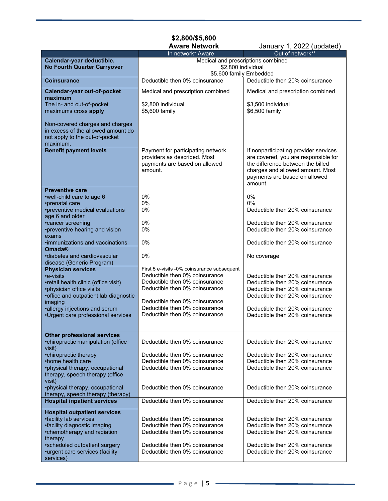## **\$2,800/\$5,600**

January 1, 2022 (updated)

|                                                  | In network* Aware                                                             | Out of network**                                                   |
|--------------------------------------------------|-------------------------------------------------------------------------------|--------------------------------------------------------------------|
| Calendar-year deductible.                        | Medical and prescriptions combined                                            |                                                                    |
| <b>No Fourth Quarter Carryover</b>               | \$2,800 individual                                                            |                                                                    |
|                                                  | \$5,600 family Embedded                                                       |                                                                    |
| <b>Coinsurance</b>                               | Deductible then 0% coinsurance                                                | Deductible then 20% coinsurance                                    |
|                                                  |                                                                               | Medical and prescription combined                                  |
| Calendar-year out-of-pocket<br>maximum           | Medical and prescription combined                                             |                                                                    |
| The in- and out-of-pocket                        | \$2,800 individual                                                            | \$3,500 individual                                                 |
| maximums cross apply                             | \$5,600 family                                                                | \$6,500 family                                                     |
|                                                  |                                                                               |                                                                    |
| Non-covered charges and charges                  |                                                                               |                                                                    |
| in excess of the allowed amount do               |                                                                               |                                                                    |
| not apply to the out-of-pocket                   |                                                                               |                                                                    |
| maximum.                                         |                                                                               |                                                                    |
| <b>Benefit payment levels</b>                    | Payment for participating network                                             | If nonparticipating provider services                              |
|                                                  | providers as described. Most                                                  | are covered, you are responsible for                               |
|                                                  | payments are based on allowed                                                 | the difference between the billed                                  |
|                                                  | amount.                                                                       | charges and allowed amount. Most                                   |
|                                                  |                                                                               | payments are based on allowed                                      |
|                                                  |                                                                               | amount.                                                            |
| <b>Preventive care</b>                           |                                                                               |                                                                    |
| •well-child care to age 6                        | 0%                                                                            | $0\%$                                                              |
| •prenatal care                                   | 0%                                                                            | $0\%$                                                              |
| •preventive medical evaluations                  | 0%                                                                            | Deductible then 20% coinsurance                                    |
| age 6 and older                                  |                                                                               |                                                                    |
| •cancer screening                                | 0%                                                                            | Deductible then 20% coinsurance                                    |
| •preventive hearing and vision                   | 0%                                                                            | Deductible then 20% coinsurance                                    |
| exams                                            |                                                                               |                                                                    |
| ·immunizations and vaccinations                  | 0%                                                                            | Deductible then 20% coinsurance                                    |
| <b>Omada®</b>                                    |                                                                               |                                                                    |
| ·diabetes and cardiovascular                     | 0%                                                                            | No coverage                                                        |
| disease (Generic Program)                        |                                                                               |                                                                    |
| <b>Physician services</b>                        | First 5 e-visits -0% coinsurance subsequent<br>Deductible then 0% coinsurance |                                                                    |
| •e-visits                                        | Deductible then 0% coinsurance                                                | Deductible then 20% coinsurance                                    |
| •retail health clinic (office visit)             | Deductible then 0% coinsurance                                                | Deductible then 20% coinsurance                                    |
| •physician office visits                         |                                                                               | Deductible then 20% coinsurance<br>Deductible then 20% coinsurance |
| •office and outpatient lab diagnostic<br>imaging | Deductible then 0% coinsurance                                                |                                                                    |
| •allergy injections and serum                    | Deductible then 0% coinsurance                                                | Deductible then 20% coinsurance                                    |
| ·Urgent care professional services               | Deductible then 0% coinsurance                                                | Deductible then 20% coinsurance                                    |
|                                                  |                                                                               |                                                                    |
|                                                  |                                                                               |                                                                    |
| Other professional services                      |                                                                               |                                                                    |
| •chiropractic manipulation (office               | Deductible then 0% coinsurance                                                | Deductible then 20% coinsurance                                    |
| visit)                                           |                                                                               |                                                                    |
| •chiropractic therapy                            | Deductible then 0% coinsurance                                                | Deductible then 20% coinsurance                                    |
| •home health care                                | Deductible then 0% coinsurance                                                | Deductible then 20% coinsurance                                    |
| •physical therapy, occupational                  | Deductible then 0% coinsurance                                                | Deductible then 20% coinsurance                                    |
| therapy, speech therapy (office                  |                                                                               |                                                                    |
| visit)                                           |                                                                               |                                                                    |
| •physical therapy, occupational                  | Deductible then 0% coinsurance                                                | Deductible then 20% coinsurance                                    |
| therapy, speech therapy (therapy)                |                                                                               |                                                                    |
| <b>Hospital inpatient services</b>               | Deductible then 0% coinsurance                                                | Deductible then 20% coinsurance                                    |
| <b>Hospital outpatient services</b>              |                                                                               |                                                                    |
| •facility lab services                           | Deductible then 0% coinsurance                                                | Deductible then 20% coinsurance                                    |
| •facility diagnostic imaging                     | Deductible then 0% coinsurance                                                | Deductible then 20% coinsurance                                    |
| •chemotherapy and radiation                      | Deductible then 0% coinsurance                                                | Deductible then 20% coinsurance                                    |
| therapy                                          |                                                                               |                                                                    |
| •scheduled outpatient surgery                    | Deductible then 0% coinsurance                                                | Deductible then 20% coinsurance                                    |
| •urgent care services (facility                  | Deductible then 0% coinsurance                                                | Deductible then 20% coinsurance                                    |
| services)                                        |                                                                               |                                                                    |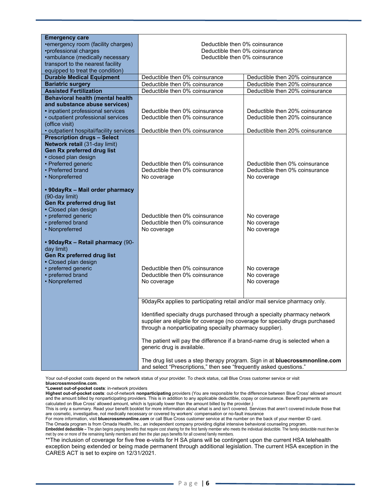| <b>Emergency care</b>                                                                                                                                              |                                                                                                                                                                                                                        |                                           |  |
|--------------------------------------------------------------------------------------------------------------------------------------------------------------------|------------------------------------------------------------------------------------------------------------------------------------------------------------------------------------------------------------------------|-------------------------------------------|--|
| •emergency room (facility charges)                                                                                                                                 | Deductible then 0% coinsurance                                                                                                                                                                                         |                                           |  |
| •professional charges                                                                                                                                              | Deductible then 0% coinsurance                                                                                                                                                                                         |                                           |  |
| •ambulance (medically necessary                                                                                                                                    | Deductible then 0% coinsurance                                                                                                                                                                                         |                                           |  |
| transport to the nearest facility                                                                                                                                  |                                                                                                                                                                                                                        |                                           |  |
| equipped to treat the condition)                                                                                                                                   |                                                                                                                                                                                                                        |                                           |  |
| <b>Durable Medical Equipment</b>                                                                                                                                   | Deductible then 0% coinsurance<br>Deductible then 20% coinsurance                                                                                                                                                      |                                           |  |
| <b>Bariatric surgery</b>                                                                                                                                           | Deductible then 0% coinsurance                                                                                                                                                                                         | Deductible then 20% coinsurance           |  |
| <b>Assisted Fertilization</b>                                                                                                                                      | Deductible then 0% coinsurance                                                                                                                                                                                         | Deductible then 20% coinsurance           |  |
| <b>Behavioral health (mental health</b>                                                                                                                            |                                                                                                                                                                                                                        |                                           |  |
| and substance abuse services)                                                                                                                                      |                                                                                                                                                                                                                        |                                           |  |
| • inpatient professional services                                                                                                                                  | Deductible then 0% coinsurance                                                                                                                                                                                         | Deductible then 20% coinsurance           |  |
| • outpatient professional services                                                                                                                                 | Deductible then 0% coinsurance                                                                                                                                                                                         | Deductible then 20% coinsurance           |  |
| (office visit)                                                                                                                                                     |                                                                                                                                                                                                                        |                                           |  |
| · outpatient hospital/facility services                                                                                                                            | Deductible then 0% coinsurance                                                                                                                                                                                         | Deductible then 20% coinsurance           |  |
| <b>Prescription drugs - Select</b>                                                                                                                                 |                                                                                                                                                                                                                        |                                           |  |
| Network retail (31-day limit)                                                                                                                                      |                                                                                                                                                                                                                        |                                           |  |
| Gen Rx preferred drug list                                                                                                                                         |                                                                                                                                                                                                                        |                                           |  |
| · closed plan design                                                                                                                                               |                                                                                                                                                                                                                        |                                           |  |
| • Preferred generic                                                                                                                                                | Deductible then 0% coinsurance                                                                                                                                                                                         | Deductible then 0% coinsurance            |  |
| • Preferred brand                                                                                                                                                  | Deductible then 0% coinsurance                                                                                                                                                                                         | Deductible then 0% coinsurance            |  |
| • Nonpreferred                                                                                                                                                     | No coverage                                                                                                                                                                                                            | No coverage                               |  |
| • 90dayRx - Mail order pharmacy<br>(90-day limit)<br>Gen Rx preferred drug list<br>• Closed plan design<br>• preferred generic<br>• preferred brand                | Deductible then 0% coinsurance<br>Deductible then 0% coinsurance                                                                                                                                                       | No coverage<br>No coverage                |  |
| • Nonpreferred                                                                                                                                                     | No coverage                                                                                                                                                                                                            | No coverage                               |  |
| • 90dayRx - Retail pharmacy (90-<br>day limit)<br>Gen Rx preferred drug list<br>• Closed plan design<br>• preferred generic<br>• preferred brand<br>• Nonpreferred | Deductible then 0% coinsurance<br>Deductible then 0% coinsurance<br>No coverage                                                                                                                                        | No coverage<br>No coverage<br>No coverage |  |
|                                                                                                                                                                    | 90dayRx applies to participating retail and/or mail service pharmacy only.                                                                                                                                             |                                           |  |
|                                                                                                                                                                    |                                                                                                                                                                                                                        |                                           |  |
|                                                                                                                                                                    | Identified specialty drugs purchased through a specialty pharmacy network<br>supplier are eligible for coverage (no coverage for specialty drugs purchased<br>through a nonparticipating specialty pharmacy supplier). |                                           |  |
|                                                                                                                                                                    | The patient will pay the difference if a brand-name drug is selected when a<br>generic drug is available.                                                                                                              |                                           |  |
|                                                                                                                                                                    | The drug list uses a step therapy program. Sign in at bluecrossmnonline.com<br>and select "Prescriptions," then see "frequently asked questions."                                                                      |                                           |  |

Your out-of-pocket costs depend on the network status of your provider. To check status, call Blue Cross customer service or visit **bluecrossmnonline.com**.

**\*Lowest out-of-pocket costs**: in-network providers

**Highest out-of-pocket costs**: out-of-network **nonparticipating** providers (You are responsible for the difference between Blue Cross' allowed amount and the amount billed by nonparticipating providers. This is in addition to any applicable deductible, copay or coinsurance. Benefit payments are calculated on Blue Cross' allowed amount, which is typically lower than the amount billed by the provider.)

This is only a summary. Read your benefit booklet for more information about what is and isn't covered. Services that aren't covered include those that are cosmetic, investigative, not medically necessary or covered by workers' compensation or no-fault insurance

For more information, visit **bluecrossmnonline.com** or call Blue Cross customer service at the number on the back of your member ID card. The Omada program is from Omada Health, Inc., an independent company providing digital intensive behavioral counseling program.

**Embedded deductible –** The plan begins paying benefits that require cost sharing for the first family member who meets the individual deductible. The family deductible must then be met by one or more of the remaining family members and then the plan pays benefits for all covered family members.

\*\*The inclusion of coverage for five free e-visits for H SA plans will be contingent upon the current HSA telehealth exception being extended or being made permanent through additional legislation. The current HSA exception in the CARES ACT is set to expire on 12/31/2021.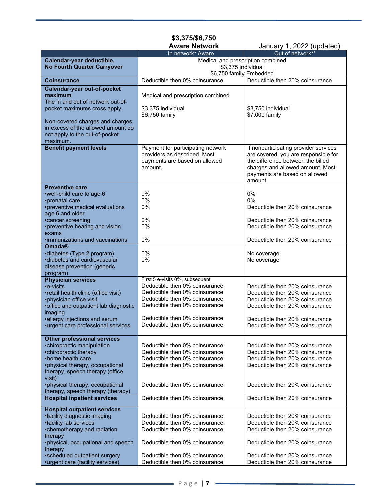## **\$3,375/\$6,750**

January 1, 2022 (updated)

|                                                            | In network* Aware                 | Out of network**                      |
|------------------------------------------------------------|-----------------------------------|---------------------------------------|
| Calendar-year deductible.                                  | Medical and prescription combined |                                       |
| <b>No Fourth Quarter Carryover</b>                         | \$3,375 individual                |                                       |
|                                                            | \$6,750 family Embedded           |                                       |
| <b>Coinsurance</b>                                         | Deductible then 0% coinsurance    | Deductible then 20% coinsurance       |
| Calendar-year out-of-pocket                                |                                   |                                       |
| maximum                                                    | Medical and prescription combined |                                       |
| The in and out of network out-of-                          |                                   |                                       |
| pocket maximums cross apply.                               | \$3,375 individual                | \$3,750 individual                    |
|                                                            | \$6,750 family                    | \$7,000 family                        |
| Non-covered charges and charges                            |                                   |                                       |
| in excess of the allowed amount do                         |                                   |                                       |
| not apply to the out-of-pocket                             |                                   |                                       |
| maximum.                                                   |                                   |                                       |
| <b>Benefit payment levels</b>                              | Payment for participating network | If nonparticipating provider services |
|                                                            | providers as described. Most      | are covered, you are responsible for  |
|                                                            | payments are based on allowed     | the difference between the billed     |
|                                                            | amount.                           | charges and allowed amount. Most      |
|                                                            |                                   | payments are based on allowed         |
|                                                            |                                   | amount.                               |
| <b>Preventive care</b>                                     |                                   |                                       |
| •well-child care to age 6                                  | 0%                                | 0%                                    |
| •prenatal care                                             | 0%                                | $0\%$                                 |
| •preventive medical evaluations                            | $0\%$                             | Deductible then 20% coinsurance       |
| age 6 and older                                            |                                   |                                       |
| •cancer screening                                          | 0%                                | Deductible then 20% coinsurance       |
| •preventive hearing and vision                             | $0\%$                             | Deductible then 20% coinsurance       |
|                                                            |                                   |                                       |
| exams                                                      |                                   |                                       |
| ·immunizations and vaccinations<br><b>Omada®</b>           | 0%                                | Deductible then 20% coinsurance       |
|                                                            | 0%                                |                                       |
| •diabetes (Type 2 program)<br>·diabetes and cardiovascular | 0%                                | No coverage                           |
|                                                            |                                   | No coverage                           |
| disease prevention (generic                                |                                   |                                       |
| program)<br><b>Physician services</b>                      | First 5 e-visits 0%, subsequent   |                                       |
| •e-visits                                                  | Deductible then 0% coinsurance    | Deductible then 20% coinsurance       |
| •retail health clinic (office visit)                       | Deductible then 0% coinsurance    | Deductible then 20% coinsurance       |
| •physician office visit                                    | Deductible then 0% coinsurance    | Deductible then 20% coinsurance       |
| •office and outpatient lab diagnostic                      | Deductible then 0% coinsurance    | Deductible then 20% coinsurance       |
| imaging                                                    |                                   |                                       |
| ·allergy injections and serum                              | Deductible then 0% coinsurance    | Deductible then 20% coinsurance       |
| •urgent care professional services                         | Deductible then 0% coinsurance    | Deductible then 20% coinsurance       |
|                                                            |                                   |                                       |
| <b>Other professional services</b>                         |                                   |                                       |
| •chiropractic manipulation                                 | Deductible then 0% coinsurance    | Deductible then 20% coinsurance       |
| •chiropractic therapy                                      | Deductible then 0% coinsurance    | Deductible then 20% coinsurance       |
| •home health care                                          | Deductible then 0% coinsurance    | Deductible then 20% coinsurance       |
| •physical therapy, occupational                            | Deductible then 0% coinsurance    | Deductible then 20% coinsurance       |
| therapy, speech therapy (office                            |                                   |                                       |
| visit)                                                     |                                   |                                       |
| •physical therapy, occupational                            | Deductible then 0% coinsurance    | Deductible then 20% coinsurance       |
| therapy, speech therapy (therapy)                          |                                   |                                       |
| <b>Hospital inpatient services</b>                         | Deductible then 0% coinsurance    | Deductible then 20% coinsurance       |
|                                                            |                                   |                                       |
| <b>Hospital outpatient services</b>                        |                                   |                                       |
| •facility diagnostic imaging                               | Deductible then 0% coinsurance    | Deductible then 20% coinsurance       |
| •facility lab services                                     | Deductible then 0% coinsurance    | Deductible then 20% coinsurance       |
| •chemotherapy and radiation                                | Deductible then 0% coinsurance    | Deductible then 20% coinsurance       |
| therapy                                                    |                                   |                                       |
| •physical, occupational and speech                         | Deductible then 0% coinsurance    | Deductible then 20% coinsurance       |
| therapy                                                    |                                   |                                       |
| •scheduled outpatient surgery                              | Deductible then 0% coinsurance    | Deductible then 20% coinsurance       |
| •urgent care (facility services)                           | Deductible then 0% coinsurance    | Deductible then 20% coinsurance       |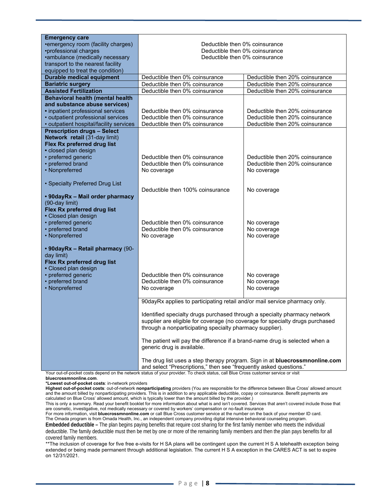| <b>Emergency care</b>                             |                                                                                                                                           |                                 |  |
|---------------------------------------------------|-------------------------------------------------------------------------------------------------------------------------------------------|---------------------------------|--|
| •emergency room (facility charges)                | Deductible then 0% coinsurance                                                                                                            |                                 |  |
| •professional charges                             | Deductible then 0% coinsurance                                                                                                            |                                 |  |
| •ambulance (medically necessary                   | Deductible then 0% coinsurance                                                                                                            |                                 |  |
| transport to the nearest facility                 |                                                                                                                                           |                                 |  |
| equipped to treat the condition)                  |                                                                                                                                           |                                 |  |
| <b>Durable medical equipment</b>                  | Deductible then 0% coinsurance                                                                                                            | Deductible then 20% coinsurance |  |
| <b>Bariatric surgery</b>                          | Deductible then 0% coinsurance                                                                                                            | Deductible then 20% coinsurance |  |
| <b>Assisted Fertilization</b>                     | Deductible then 0% coinsurance                                                                                                            | Deductible then 20% coinsurance |  |
| <b>Behavioral health (mental health</b>           |                                                                                                                                           |                                 |  |
| and substance abuse services)                     |                                                                                                                                           |                                 |  |
| • inpatient professional services                 | Deductible then 0% coinsurance                                                                                                            | Deductible then 20% coinsurance |  |
| • outpatient professional services                | Deductible then 0% coinsurance                                                                                                            | Deductible then 20% coinsurance |  |
| • outpatient hospital/facility services           | Deductible then 0% coinsurance                                                                                                            | Deductible then 20% coinsurance |  |
| <b>Prescription drugs - Select</b>                |                                                                                                                                           |                                 |  |
| Network retail (31-day limit)                     |                                                                                                                                           |                                 |  |
| Flex Rx preferred drug list                       |                                                                                                                                           |                                 |  |
| · closed plan design                              |                                                                                                                                           |                                 |  |
| • preferred generic                               | Deductible then 0% coinsurance                                                                                                            | Deductible then 20% coinsurance |  |
| • preferred brand                                 | Deductible then 0% coinsurance                                                                                                            | Deductible then 20% coinsurance |  |
| • Nonpreferred                                    | No coverage                                                                                                                               | No coverage                     |  |
|                                                   |                                                                                                                                           |                                 |  |
| • Specialty Preferred Drug List                   |                                                                                                                                           |                                 |  |
|                                                   | Deductible then 100% coinsurance                                                                                                          | No coverage                     |  |
| • 90dayRx - Mail order pharmacy<br>(90-day limit) |                                                                                                                                           |                                 |  |
| Flex Rx preferred drug list                       |                                                                                                                                           |                                 |  |
| • Closed plan design                              |                                                                                                                                           |                                 |  |
| • preferred generic                               | Deductible then 0% coinsurance                                                                                                            | No coverage                     |  |
| • preferred brand                                 | Deductible then 0% coinsurance                                                                                                            | No coverage                     |  |
| • Nonpreferred                                    | No coverage                                                                                                                               | No coverage                     |  |
|                                                   |                                                                                                                                           |                                 |  |
| • 90dayRx - Retail pharmacy (90-                  |                                                                                                                                           |                                 |  |
| day limit)                                        |                                                                                                                                           |                                 |  |
| Flex Rx preferred drug list                       |                                                                                                                                           |                                 |  |
| • Closed plan design                              |                                                                                                                                           |                                 |  |
| • preferred generic                               | Deductible then 0% coinsurance                                                                                                            | No coverage                     |  |
| • preferred brand                                 | Deductible then 0% coinsurance                                                                                                            | No coverage                     |  |
| • Nonpreferred                                    | No coverage                                                                                                                               | No coverage                     |  |
|                                                   |                                                                                                                                           |                                 |  |
|                                                   | 90dayRx applies to participating retail and/or mail service pharmacy only.                                                                |                                 |  |
|                                                   |                                                                                                                                           |                                 |  |
|                                                   | Identified specialty drugs purchased through a specialty pharmacy network                                                                 |                                 |  |
|                                                   | supplier are eligible for coverage (no coverage for specialty drugs purchased<br>through a nonparticipating specialty pharmacy supplier). |                                 |  |
|                                                   |                                                                                                                                           |                                 |  |
|                                                   | The patient will pay the difference if a brand-name drug is selected when a                                                               |                                 |  |
|                                                   | generic drug is available.                                                                                                                |                                 |  |
|                                                   |                                                                                                                                           |                                 |  |
|                                                   | The drug list uses a step therapy program. Sign in at bluecrossmnonline.com                                                               |                                 |  |
|                                                   | and select "Prescriptions," then see "frequently asked questions."                                                                        |                                 |  |
|                                                   | Your out-of-pocket costs depend on the network status of your provider. To check status, call Blue Cross customer service or visit        |                                 |  |

**bluecrossmnonline.com**.

**\*Lowest out-of-pocket costs**: in-network providers

**Highest out-of-pocket costs**: out-of-network **nonparticipating** providers (You are responsible for the difference between Blue Cross' allowed amount and the amount billed by nonparticipating providers. This is in addition to any applicable deductible, copay or coinsurance. Benefit payments are calculated on Blue Cross' allowed amount, which is typically lower than the amount billed by the provider.)

This is only a summary. Read your benefit booklet for more information about what is and isn't covered. Services that aren't covered include those that are cosmetic, investigative, not medically necessary or covered by workers' compensation or no-fault insurance

For more information, visit **bluecrossmnonline.com** or call Blue Cross customer service at the number on the back of your member ID card. The Omada program is from Omada Health, Inc., an independent company providing digital intensive behavioral counseling program.

**Embedded deductible –** The plan begins paying benefits that require cost sharing for the first family member who meets the individual

deductible. The family deductible must then be met by one or more of the remaining family members and then the plan pays benefits for all covered family members.

\*\*The inclusion of coverage for five free e-visits for H SA plans will be contingent upon the current H S A telehealth exception being extended or being made permanent through additional legislation. The current H S A exception in the CARES ACT is set to expire on 12/31/2021.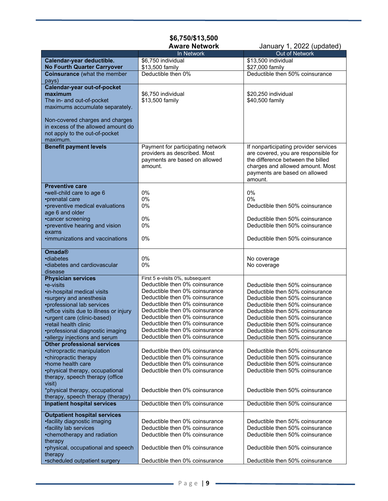## **\$6,750/\$13,500**

**January 1, 2022 (updated)** 

|                                         | In Network                        | $\frac{1}{2}$<br>Out of Network       |
|-----------------------------------------|-----------------------------------|---------------------------------------|
|                                         |                                   |                                       |
| Calendar-year deductible.               | \$6.750 individual                | \$13,500 individual                   |
| <b>No Fourth Quarter Carryover</b>      | \$13,500 family                   | \$27,000 family                       |
| <b>Coinsurance (what the member</b>     | Deductible then 0%                | Deductible then 50% coinsurance       |
| pays)                                   |                                   |                                       |
| Calendar-year out-of-pocket             |                                   |                                       |
| maximum                                 | \$6,750 individual                | \$20,250 individual                   |
| The in- and out-of-pocket               | \$13,500 family                   | \$40,500 family                       |
| maximums accumulate separately.         |                                   |                                       |
|                                         |                                   |                                       |
| Non-covered charges and charges         |                                   |                                       |
| in excess of the allowed amount do      |                                   |                                       |
| not apply to the out-of-pocket          |                                   |                                       |
| maximum.                                |                                   |                                       |
|                                         |                                   |                                       |
| <b>Benefit payment levels</b>           | Payment for participating network | If nonparticipating provider services |
|                                         | providers as described. Most      | are covered, you are responsible for  |
|                                         | payments are based on allowed     | the difference between the billed     |
|                                         | amount.                           | charges and allowed amount. Most      |
|                                         |                                   | payments are based on allowed         |
|                                         |                                   | amount.                               |
| <b>Preventive care</b>                  |                                   |                                       |
| •well-child care to age 6               | 0%                                | 0%                                    |
| •prenatal care                          | 0%                                | 0%                                    |
| •preventive medical evaluations         | 0%                                | Deductible then 50% coinsurance       |
| age 6 and older                         |                                   |                                       |
| •cancer screening                       | 0%                                | Deductible then 50% coinsurance       |
| •preventive hearing and vision          | 0%                                | Deductible then 50% coinsurance       |
| exams                                   |                                   |                                       |
| .immunizations and vaccinations         | 0%                                | Deductible then 50% coinsurance       |
|                                         |                                   |                                       |
| <b>Omada®</b>                           |                                   |                                       |
| •diabetes                               | 0%                                | No coverage                           |
| ·diabetes and cardiovascular            | 0%                                | No coverage                           |
| disease                                 |                                   |                                       |
|                                         | First 5 e-visits 0%, subsequent   |                                       |
| <b>Physician services</b><br>•e-visits  | Deductible then 0% coinsurance    | Deductible then 50% coinsurance       |
|                                         |                                   |                                       |
| ·in-hospital medical visits             | Deductible then 0% coinsurance    | Deductible then 50% coinsurance       |
| *surgery and anesthesia                 | Deductible then 0% coinsurance    | Deductible then 50% coinsurance       |
| •professional lab services              | Deductible then 0% coinsurance    | Deductible then 50% coinsurance       |
| •office visits due to illness or injury | Deductible then 0% coinsurance    | Deductible then 50% coinsurance       |
| •urgent care (clinic-based)             | Deductible then 0% coinsurance    | Deductible then 50% coinsurance       |
| •retail health clinic                   | Deductible then 0% coinsurance    | Deductible then 50% coinsurance       |
| •professional diagnostic imaging        | Deductible then 0% coinsurance    | Deductible then 50% coinsurance       |
| •allergy injections and serum           | Deductible then 0% coinsurance    | Deductible then 50% coinsurance       |
| <b>Other professional services</b>      |                                   |                                       |
| •chiropractic manipulation              | Deductible then 0% coinsurance    | Deductible then 50% coinsurance       |
| •chiropractic therapy                   | Deductible then 0% coinsurance    | Deductible then 50% coinsurance       |
| •home health care                       | Deductible then 0% coinsurance    | Deductible then 50% coinsurance       |
| •physical therapy, occupational         | Deductible then 0% coinsurance    | Deductible then 50% coinsurance       |
| therapy, speech therapy (office         |                                   |                                       |
|                                         |                                   |                                       |
| visit)                                  |                                   | Deductible then 50% coinsurance       |
| *physical therapy, occupational         | Deductible then 0% coinsurance    |                                       |
| therapy, speech therapy (therapy)       |                                   |                                       |
| <b>Inpatient hospital services</b>      | Deductible then 0% coinsurance    | Deductible then 50% coinsurance       |
| <b>Outpatient hospital services</b>     |                                   |                                       |
| •facility diagnostic imaging            | Deductible then 0% coinsurance    | Deductible then 50% coinsurance       |
| ·facility lab services                  | Deductible then 0% coinsurance    | Deductible then 50% coinsurance       |
| •chemotherapy and radiation             | Deductible then 0% coinsurance    | Deductible then 50% coinsurance       |
| therapy                                 |                                   |                                       |
| •physical, occupational and speech      | Deductible then 0% coinsurance    | Deductible then 50% coinsurance       |
| therapy                                 |                                   |                                       |
| •scheduled outpatient surgery           | Deductible then 0% coinsurance    | Deductible then 50% coinsurance       |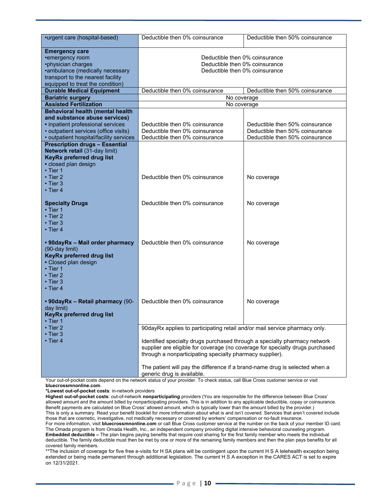| •urgent care (hospital-based)                                                                                                                                                                     | Deductible then 0% coinsurance                                                                                                                                                                                                                                                                                                                                                                                                                                                                                                                          | Deductible then 50% coinsurance                                                                       |  |
|---------------------------------------------------------------------------------------------------------------------------------------------------------------------------------------------------|---------------------------------------------------------------------------------------------------------------------------------------------------------------------------------------------------------------------------------------------------------------------------------------------------------------------------------------------------------------------------------------------------------------------------------------------------------------------------------------------------------------------------------------------------------|-------------------------------------------------------------------------------------------------------|--|
| <b>Emergency care</b><br>•emergency room<br>•physician charges<br>·ambulance (medically necessary<br>transport to the nearest facility<br>equipped to treat the condition)                        | Deductible then 0% coinsurance<br>Deductible then 0% coinsurance<br>Deductible then 0% coinsurance                                                                                                                                                                                                                                                                                                                                                                                                                                                      |                                                                                                       |  |
| <b>Durable Medical Equipment</b>                                                                                                                                                                  | Deductible then 0% coinsurance                                                                                                                                                                                                                                                                                                                                                                                                                                                                                                                          | Deductible then 50% coinsurance                                                                       |  |
| <b>Bariatric surgery</b>                                                                                                                                                                          | No coverage                                                                                                                                                                                                                                                                                                                                                                                                                                                                                                                                             |                                                                                                       |  |
| <b>Assisted Fertilization</b>                                                                                                                                                                     | No coverage                                                                                                                                                                                                                                                                                                                                                                                                                                                                                                                                             |                                                                                                       |  |
| <b>Behavioral health (mental health</b><br>and substance abuse services)<br>• inpatient professional services<br>• outpatient services (office visits)<br>• outpatient hospital/facility services | Deductible then 0% coinsurance<br>Deductible then 0% coinsurance<br>Deductible then 0% coinsurance                                                                                                                                                                                                                                                                                                                                                                                                                                                      | Deductible then 50% coinsurance<br>Deductible then 50% coinsurance<br>Deductible then 50% coinsurance |  |
| <b>Prescription drugs - Essential</b><br>Network retail (31-day limit)<br>KeyRx preferred drug list<br>· closed plan design<br>$\cdot$ Tier 1<br>• Tier 2<br>$\cdot$ Tier 3<br>• Tier 4           | Deductible then 0% coinsurance                                                                                                                                                                                                                                                                                                                                                                                                                                                                                                                          | No coverage                                                                                           |  |
| <b>Specialty Drugs</b><br>$\cdot$ Tier 1<br>$\cdot$ Tier 2<br>• Tier 3<br>$\cdot$ Tier 4                                                                                                          | Deductible then 0% coinsurance                                                                                                                                                                                                                                                                                                                                                                                                                                                                                                                          | No coverage                                                                                           |  |
| • 90dayRx - Mail order pharmacy<br>(90-day limit)<br>KeyRx preferred drug list<br>• Closed plan design<br>$\cdot$ Tier 1<br>$\cdot$ Tier 2<br>$\boldsymbol{\cdot}$ Tier 3<br>$\cdot$ Tier 4       | Deductible then 0% coinsurance                                                                                                                                                                                                                                                                                                                                                                                                                                                                                                                          | No coverage                                                                                           |  |
| • 90dayRx - Retail pharmacy (90-<br>day limit)<br>KeyRx preferred drug list<br>• Tier 1                                                                                                           | Deductible then 0% coinsurance                                                                                                                                                                                                                                                                                                                                                                                                                                                                                                                          | No coverage                                                                                           |  |
| $\cdot$ Tier 2<br>$\cdot$ Tier 3<br>$\boldsymbol{\cdot}$ Tier 4                                                                                                                                   | 90dayRx applies to participating retail and/or mail service pharmacy only.<br>Identified specialty drugs purchased through a specialty pharmacy network<br>supplier are eligible for coverage (no coverage for specialty drugs purchased<br>through a nonparticipating specialty pharmacy supplier).<br>The patient will pay the difference if a brand-name drug is selected when a<br>generic drug is available.<br>Your out of pocket costs depend on the petwork status of your provider. To check status, call Blue Cross customer service or visit |                                                                                                       |  |

ur out-of-pocket costs depend on the network status of your provider. To check status, call Blue Cross customer service or visit **bluecrossmnonline.com**.

**\*Lowest out-of-pocket costs**: in-network providers

**Highest out-of-pocket costs**: out-of-network **nonparticipating** providers (You are responsible for the difference between Blue Cross' allowed amount and the amount billed by nonparticipating providers. This is in addition to any applicable deductible, copay or coinsurance. Benefit payments are calculated on Blue Cross' allowed amount, which is typically lower than the amount billed by the provider.) This is only a summary. Read your benefit booklet for more information about what is and isn't covered. Services that aren't covered include those that are cosmetic, investigative, not medically necessary or covered by workers' compensation or no-fault insurance. For more information, visit **bluecrossmnonline.com** or call Blue Cross customer service at the number on the back of your member ID card.

The Omada program is from Omada Health, Inc., an independent company providing digital intensive behavioral counseling program. **Embedded deductible –** The plan begins paying benefits that require cost sharing for the first family member who meets the individual deductible. The family deductible must then be met by one or more of the remaining family members and then the plan pays benefits for all covered family members.

\*\*The inclusion of coverage for five free e-visits for H SA plans will be contingent upon the current H S A telehealth exception being extended or being made permanent through additional legislation. The current H S A exception in the CARES ACT is set to expire on 12/31/2021.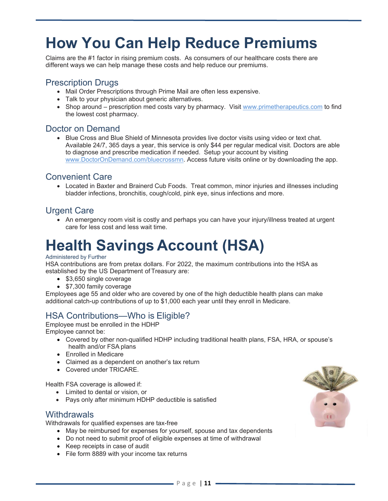# **How You Can Help Reduce Premiums**

Claims are the #1 factor in rising premium costs. As consumers of our healthcare costs there are different ways we can help manage these costs and help reduce our premiums.

### Prescription Drugs

- Mail Order Prescriptions through Prime Mail are often less expensive.
- Talk to your physician about generic alternatives.
- Shop around prescription med costs vary by pharmacy. Visit www.primetherapeutics.com to find the lowest cost pharmacy.

### Doctor on Demand

• Blue Cross and Blue Shield of Minnesota provides live doctor visits using video or text chat. Available 24/7, 365 days a year, this service is only \$44 per regular medical visit. Doctors are able to diagnose and prescribe medication if needed. Setup your account by visiting www.DoctorOnDemand.com/bluecrossmn. Access future visits online or by downloading the app.

### Convenient Care

 Located in Baxter and Brainerd Cub Foods. Treat common, minor injuries and illnesses including bladder infections, bronchitis, cough/cold, pink eye, sinus infections and more.

### Urgent Care

• An emergency room visit is costly and perhaps you can have your injury/illness treated at urgent care for less cost and less wait time.

# **Health Savings Account (HSA)**

#### Administered by Further

HSA contributions are from pretax dollars. For 2022, the maximum contributions into the HSA as established by the US Department of Treasury are:

- \$3,650 single coverage
- \$7,300 family coverage

Employees age 55 and older who are covered by one of the high deductible health plans can make additional catch-up contributions of up to \$1,000 each year until they enroll in Medicare.

## HSA Contributions—Who is Eligible?

Employee must be enrolled in the HDHP Employee cannot be:

- Covered by other non-qualified HDHP including traditional health plans, FSA, HRA, or spouse's health and/or FSA plans
- Enrolled in Medicare
- Claimed as a dependent on another's tax return
- Covered under TRICARE.

Health FSA coverage is allowed if:

- Limited to dental or vision, or
- Pays only after minimum HDHP deductible is satisfied

### **Withdrawals**

Withdrawals for qualified expenses are tax-free

- May be reimbursed for expenses for yourself, spouse and tax dependents
- Do not need to submit proof of eligible expenses at time of withdrawal
- Keep receipts in case of audit
- File form 8889 with your income tax returns

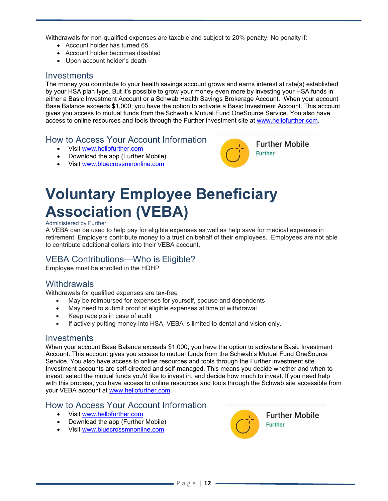Withdrawals for non-qualified expenses are taxable and subject to 20% penalty. No penalty if:

- Account holder has turned 65
- Account holder becomes disabled
- Upon account holder's death

#### **Investments**

The money you contribute to your health savings account grows and earns interest at rate(s) established by your HSA plan type. But it's possible to grow your money even more by investing your HSA funds in either a Basic Investment Account or a Schwab Health Savings Brokerage Account. When your account Base Balance exceeds \$1,000, you have the option to activate a Basic Investment Account. This account gives you access to mutual funds from the Schwab's Mutual Fund OneSource Service. You also have access to online resources and tools through the Further investment site at www.hellofurther.com.

### How to Access Your Account Information

- Visit www.hellofurther.com
- Download the app (Further Mobile)
- Visit www.bluecrossmnonline.com



# **Voluntary Employee Beneficiary Association (VEBA)**

#### Administered by Further

A VEBA can be used to help pay for eligible expenses as well as help save for medical expenses in retirement. Employers contribute money to a trust on behalf of their employees. Employees are not able to contribute additional dollars into their VEBA account.

### VEBA Contributions—Who is Eligible?

Employee must be enrolled in the HDHP

### **Withdrawals**

Withdrawals for qualified expenses are tax-free

- May be reimbursed for expenses for yourself, spouse and dependents
- May need to submit proof of eligible expenses at time of withdrawal
- Keep receipts in case of audit
- If actively putting money into HSA, VEBA is limited to dental and vision only.

#### **Investments**

When your account Base Balance exceeds \$1,000, you have the option to activate a Basic Investment Account. This account gives you access to mutual funds from the Schwab's Mutual Fund OneSource Service. You also have access to online resources and tools through the Further investment site. Investment accounts are self-directed and self-managed. This means you decide whether and when to invest, select the mutual funds you'd like to invest in, and decide how much to invest. If you need help with this process, you have access to online resources and tools through the Schwab site accessible from your VEBA account at www.hellofurther.com.

#### How to Access Your Account Information

- Visit www.hellofurther.com
- Download the app (Further Mobile)
- Visit www.bluecrossmnonline.com

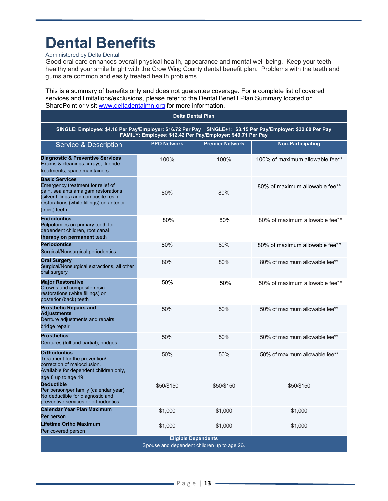# **Dental Benefits**

#### Administered by Delta Dental

Good oral care enhances overall physical health, appearance and mental well-being. Keep your teeth healthy and your smile bright with the Crow Wing County dental benefit plan. Problems with the teeth and gums are common and easily treated health problems.

This is a summary of benefits only and does not guarantee coverage. For a complete list of covered services and limitations/exclusions, please refer to the Dental Benefit Plan Summary located on SharePoint or visit www.deltadentalmn.org for more information.

| <b>Delta Dental Plan</b>                                                                                                                                                                                  |                    |                        |                                 |  |
|-----------------------------------------------------------------------------------------------------------------------------------------------------------------------------------------------------------|--------------------|------------------------|---------------------------------|--|
| SINGLE: Employee: \$4.18 Per Pay/Employer: \$16.72 Per Pay SINGLE+1: \$8.15 Per Pay/Employer: \$32.60 Per Pay<br>FAMILY: Employee: \$12.42 Per Pay/Employer: \$49.71 Per Pay                              |                    |                        |                                 |  |
| <b>Service &amp; Description</b>                                                                                                                                                                          | <b>PPO Network</b> | <b>Premier Network</b> | <b>Non-Participating</b>        |  |
| <b>Diagnostic &amp; Preventive Services</b><br>Exams & cleanings, x-rays, fluoride<br>treatments, space maintainers                                                                                       | 100%               | 100%                   | 100% of maximum allowable fee** |  |
| <b>Basic Services</b><br>Emergency treatment for relief of<br>pain, sealants amalgam restorations<br>(silver fillings) and composite resin<br>restorations (white fillings) on anterior<br>(front) teeth. | 80%                | 80%                    | 80% of maximum allowable fee**  |  |
| <b>Endodontics</b><br>Pulpotomies on primary teeth for<br>dependent children, root canal<br>therapy on permanent teeth                                                                                    | 80%                | 80%                    | 80% of maximum allowable fee**  |  |
| <b>Periodontics</b><br>Surgical/Nonsurgical periodontics                                                                                                                                                  | 80%                | 80%                    | 80% of maximum allowable fee**  |  |
| <b>Oral Surgery</b><br>Surgical/Nonsurgical extractions, all other<br>oral surgery                                                                                                                        | 80%                | 80%                    | 80% of maximum allowable fee**  |  |
| <b>Major Restorative</b><br>Crowns and composite resin<br>restorations (white fillings) on<br>posterior (back) teeth                                                                                      | 50%                | 50%                    | 50% of maximum allowable fee**  |  |
| <b>Prosthetic Repairs and</b><br><b>Adjustments</b><br>Denture adjustments and repairs,<br>bridge repair                                                                                                  | 50%                | 50%                    | 50% of maximum allowable fee**  |  |
| <b>Prosthetics</b><br>Dentures (full and partial), bridges                                                                                                                                                | 50%                | 50%                    | 50% of maximum allowable fee**  |  |
| <b>Orthodontics</b><br>Treatment for the prevention/<br>correction of malocclusion.<br>Available for dependent children only,<br>age 8 up to age 19                                                       | 50%                | 50%                    | 50% of maximum allowable fee**  |  |
| <b>Deductible</b><br>Per person/per family (calendar year)<br>No deductible for diagnostic and<br>preventive services or orthodontics                                                                     | \$50/\$150         | \$50/\$150             | \$50/\$150                      |  |
| <b>Calendar Year Plan Maximum</b><br>Per person                                                                                                                                                           | \$1,000            | \$1,000                | \$1,000                         |  |
| <b>Lifetime Ortho Maximum</b><br>Per covered person                                                                                                                                                       | \$1,000            | \$1,000                | \$1,000                         |  |
| <b>Eligible Dependents</b><br>Spouse and dependent children up to age 26.                                                                                                                                 |                    |                        |                                 |  |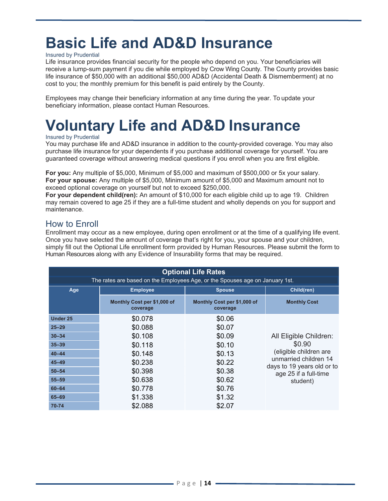# **Basic Life and AD&D Insurance**

#### Insured by Prudential

Life insurance provides financial security for the people who depend on you. Your beneficiaries will receive a lump-sum payment if you die while employed by Crow Wing County. The County provides basic life insurance of \$50,000 with an additional \$50,000 AD&D (Accidental Death & Dismemberment) at no cost to you; the monthly premium for this benefit is paid entirely by the County.

Employees may change their beneficiary information at any time during the year. To update your beneficiary information, please contact Human Resources.

# **Voluntary Life and AD&D Insurance**

#### Insured by Prudential

You may purchase life and AD&D insurance in addition to the county-provided coverage. You may also purchase life insurance for your dependents if you purchase additional coverage for yourself. You are guaranteed coverage without answering medical questions if you enroll when you are first eligible.

**For you:** Any multiple of \$5,000, Minimum of \$5,000 and maximum of \$500,000 or 5x your salary. **For your spouse:** Any multiple of \$5,000, Minimum amount of \$5,000 and Maximum amount not to exceed optional coverage on yourself but not to exceed \$250,000.

**For your dependent child(ren):** An amount of \$10,000 for each eligible child up to age 19. Children may remain covered to age 25 if they are a full-time student and wholly depends on you for support and maintenance.

### How to Enroll

Enrollment may occur as a new employee, during open enrollment or at the time of a qualifying life event. Once you have selected the amount of coverage that's right for you, your spouse and your children, simply fill out the Optional Life enrollment form provided by Human Resources. Please submit the form to Human Resources along with any Evidence of Insurability forms that may be required.

| <b>Optional Life Rates</b>                                                   |                                         |                                         |                                                     |  |
|------------------------------------------------------------------------------|-----------------------------------------|-----------------------------------------|-----------------------------------------------------|--|
| The rates are based on the Employees Age, or the Spouses age on January 1st. |                                         |                                         |                                                     |  |
| Age                                                                          | <b>Employee</b>                         | Child(ren)                              |                                                     |  |
|                                                                              | Monthly Cost per \$1,000 of<br>coverage | Monthly Cost per \$1,000 of<br>coverage | <b>Monthly Cost</b>                                 |  |
| <b>Under 25</b>                                                              | \$0.078                                 | \$0.06                                  |                                                     |  |
| $25 - 29$                                                                    | \$0.088                                 | \$0.07                                  |                                                     |  |
| $30 - 34$                                                                    | \$0.108                                 | \$0.09                                  | All Eligible Children:                              |  |
| $35 - 39$                                                                    | \$0.118                                 | \$0.10                                  | \$0.90                                              |  |
| $40 - 44$                                                                    | \$0.148                                 | \$0.13                                  | (eligible children are                              |  |
| $45 - 49$                                                                    | \$0.238                                 | \$0.22                                  | unmarried children 14<br>days to 19 years old or to |  |
| $50 - 54$                                                                    | \$0.398                                 | \$0.38                                  | age 25 if a full-time                               |  |
| $55 - 59$                                                                    | \$0.638                                 | \$0.62                                  | student)                                            |  |
| $60 - 64$                                                                    | \$0.778                                 | \$0.76                                  |                                                     |  |
| 65-69                                                                        | \$1.338                                 | \$1.32                                  |                                                     |  |
| 70-74                                                                        | \$2.088                                 | \$2.07                                  |                                                     |  |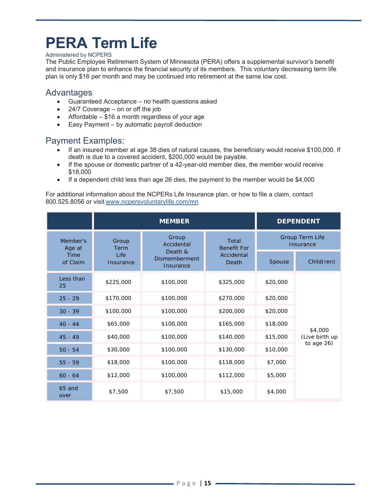# **PERA Term Life**

#### Administered by NCPERS

The Public Employee Retirement System of Minnesota (PERA) offers a supplemental survivor's benefit and insurance plan to enhance the financial security of its members. This voluntary decreasing term life plan is only \$16 per month and may be continued into retirement at the same low cost.

#### Advantages

- Guaranteed Acceptance no health questions asked
- 24/7 Coverage on or off the job
- Affordable \$16 a month regardless of your age
- Easy Payment by automatic payroll deduction

### Payment Examples:

- If an insured member at age 38 dies of natural causes, the beneficiary would receive \$100,000. If death is due to a covered accident, \$200,000 would be payable.
- If the spouse or domestic partner of a 42-year-old member dies, the member would receive \$18,000
- If a dependent child less than age 26 dies, the payment to the member would be  $$4,000$

For additional information about the NCPERs Life Insurance plan, or how to file a claim, contact 800.525.8056 or visit www.ncpersvoluntarylife.com/mn

|                    |                   | <b>MEMBER</b>                                                 |                     | <b>DEPENDENT</b>             |                |
|--------------------|-------------------|---------------------------------------------------------------|---------------------|------------------------------|----------------|
| Member's<br>Age at | Group<br>Term     | Group<br>Total<br>Accidental<br><b>Benefit For</b><br>Death & |                     | Group Term Life<br>Insurance |                |
| Time<br>of Claim   | Life<br>Insurance | <b>Dismemberment</b><br>Insurance                             | Accidental<br>Death | Spouse                       | Child(ren)     |
| Less than<br>25    | \$225,000         | \$100,000                                                     | \$325,000           | \$20,000                     |                |
| $25 - 29$          | \$170,000         | \$100,000                                                     | \$270,000           | \$20,000                     |                |
| $30 - 39$          | \$100,000         | \$100,000                                                     | \$200,000           | \$20,000                     |                |
| $40 - 44$          | \$65,000          | \$100,000                                                     | \$165,000           | \$18,000                     | \$4,000        |
| $45 - 49$          | \$40,000          | \$100,000                                                     | \$140,000           | \$15,000                     | (Live birth up |
| $50 - 54$          | \$30,000          | \$100,000                                                     | \$130,000           | \$10,000                     | to age 26)     |
| $55 - 59$          | \$18,000          | \$100,000                                                     | \$118,000           | \$7,000                      |                |
| $60 - 64$          | \$12,000          | \$100,000                                                     | \$112,000           | \$5,000                      |                |
| 65 and<br>over     | \$7,500           | \$7,500                                                       | \$15,000            | \$4,000                      |                |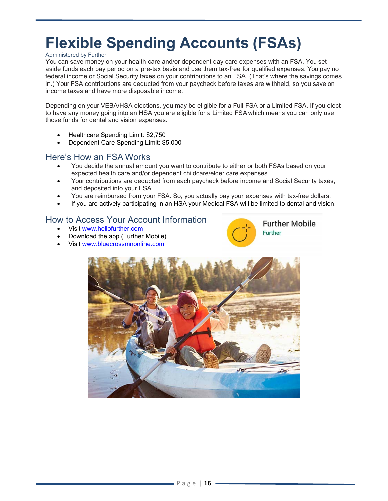# **Flexible Spending Accounts (FSAs)**

#### Administered by Further

You can save money on your health care and/or dependent day care expenses with an FSA. You set aside funds each pay period on a pre-tax basis and use them tax-free for qualified expenses. You pay no federal income or Social Security taxes on your contributions to an FSA. (That's where the savings comes in.) Your FSA contributions are deducted from your paycheck before taxes are withheld, so you save on income taxes and have more disposable income.

Depending on your VEBA/HSA elections, you may be eligible for a Full FSA or a Limited FSA. If you elect to have any money going into an HSA you are eligible for a Limited FSA which means you can only use those funds for dental and vision expenses.

- Healthcare Spending Limit: \$2,750
- Dependent Care Spending Limit: \$5,000

#### Here's How an FSA Works

- You decide the annual amount you want to contribute to either or both FSAs based on your expected health care and/or dependent childcare/elder care expenses.
- Your contributions are deducted from each paycheck before income and Social Security taxes, and deposited into your FSA.
- You are reimbursed from your FSA. So, you actually pay your expenses with tax-free dollars.
- If you are actively participating in an HSA your Medical FSA will be limited to dental and vision.

### How to Access Your Account Information

- Visit www.hellofurther.com
- Download the app (Further Mobile)
- Visit www.bluecrossmnonline.com



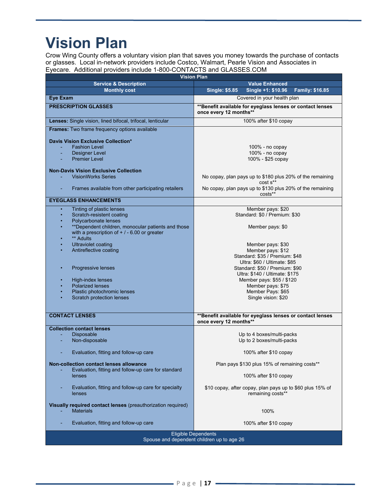# **Vision Plan**

Crow Wing County offers a voluntary vision plan that saves you money towards the purchase of contacts or glasses. Local in-network providers include Costco, Walmart, Pearle Vision and Associates in Eyecare. Additional providers include 1-800-CONTACTS and GLASSES.COM

| <b>Vision Plan</b>                                                               |                                                                                     |  |  |  |  |
|----------------------------------------------------------------------------------|-------------------------------------------------------------------------------------|--|--|--|--|
| <b>Service &amp; Description</b>                                                 | <b>Value Enhanced</b>                                                               |  |  |  |  |
| <b>Monthly cost</b>                                                              | <b>Single: \$5.85</b><br><b>Family: \$16.85</b><br>Single +1: \$10.96               |  |  |  |  |
| <b>Eye Exam</b>                                                                  | Covered in your health plan                                                         |  |  |  |  |
| <b>PRESCRIPTION GLASSES</b>                                                      | **Benefit available for eyeglass lenses or contact lenses<br>once every 12 months** |  |  |  |  |
| Lenses: Single vision, lined bifocal, trifocal, lenticular                       | 100% after \$10 copay                                                               |  |  |  |  |
| Frames: Two frame frequency options available                                    |                                                                                     |  |  |  |  |
| Davis Vision Exclusive Collection*                                               |                                                                                     |  |  |  |  |
| <b>Fashion Level</b>                                                             | $100\%$ - no copay                                                                  |  |  |  |  |
| Designer Level                                                                   | 100% - no copay                                                                     |  |  |  |  |
| <b>Premier Level</b>                                                             | 100% - \$25 copay                                                                   |  |  |  |  |
| <b>Non-Davis Vision Exclusive Collection</b>                                     |                                                                                     |  |  |  |  |
| <b>VisionWorks Series</b>                                                        |                                                                                     |  |  |  |  |
|                                                                                  | No copay, plan pays up to \$180 plus 20% of the remaining<br>$costs^{**}$           |  |  |  |  |
| Frames available from other participating retailers                              | No copay, plan pays up to \$130 plus 20% of the remaining<br>costs**                |  |  |  |  |
| <b>EYEGLASS ENHANCEMENTS</b>                                                     |                                                                                     |  |  |  |  |
| Tinting of plastic lenses                                                        | Member pays: \$20                                                                   |  |  |  |  |
| Scratch-resistent coating                                                        | Standard: \$0 / Premium: \$30                                                       |  |  |  |  |
| Polycarbonate lenses                                                             |                                                                                     |  |  |  |  |
| **Dependent children, monocular patients and those                               | Member pays: \$0                                                                    |  |  |  |  |
| with a prescription of $+$ / - 6.00 or greater                                   |                                                                                     |  |  |  |  |
| ** Adults                                                                        |                                                                                     |  |  |  |  |
| Ultraviolet coating                                                              | Member pays: \$30                                                                   |  |  |  |  |
| Antireflective coating                                                           | Member pays: \$12                                                                   |  |  |  |  |
|                                                                                  | Standard: \$35 / Premium: \$48<br>Ultra: \$60 / Ultimate: \$85                      |  |  |  |  |
| Progressive lenses                                                               | Standard: \$50 / Premium: \$90                                                      |  |  |  |  |
|                                                                                  | Ultra: \$140 / Ultimate: \$175                                                      |  |  |  |  |
| High-index lenses                                                                | Member pays: \$55 / \$120                                                           |  |  |  |  |
| <b>Polarized lenses</b>                                                          | Member pays: \$75                                                                   |  |  |  |  |
| Plastic photochromic lenses                                                      | Member Pays: \$65                                                                   |  |  |  |  |
| Scratch protection lenses                                                        | Single vision: \$20                                                                 |  |  |  |  |
|                                                                                  |                                                                                     |  |  |  |  |
| <b>CONTACT LENSES</b>                                                            | **Benefit available for eyeglass lenses or contact lenses                           |  |  |  |  |
|                                                                                  | once every 12 months**                                                              |  |  |  |  |
| <b>Collection contact lenses</b>                                                 |                                                                                     |  |  |  |  |
| <b>Disposable</b>                                                                | Up to 4 boxes/multi-packs                                                           |  |  |  |  |
| Non-disposable                                                                   | Up to 2 boxes/multi-packs                                                           |  |  |  |  |
|                                                                                  |                                                                                     |  |  |  |  |
| Evaluation, fitting and follow-up care                                           | 100% after \$10 copay                                                               |  |  |  |  |
| <b>Non-collection contact lenses allowance</b>                                   | Plan pays \$130 plus 15% of remaining costs**                                       |  |  |  |  |
| Evaluation, fitting and follow-up care for standard                              |                                                                                     |  |  |  |  |
| lenses                                                                           | 100% after \$10 copay                                                               |  |  |  |  |
| Evaluation, fitting and follow-up care for specialty<br>lenses                   | \$10 copay, after copay, plan pays up to \$60 plus 15% of<br>remaining costs**      |  |  |  |  |
|                                                                                  |                                                                                     |  |  |  |  |
| Visually required contact lenses (preauthorization required)<br><b>Materials</b> | 100%                                                                                |  |  |  |  |
|                                                                                  |                                                                                     |  |  |  |  |
| Evaluation, fitting and follow-up care                                           | 100% after \$10 copay                                                               |  |  |  |  |
|                                                                                  |                                                                                     |  |  |  |  |
| <b>Eligible Dependents</b>                                                       |                                                                                     |  |  |  |  |
|                                                                                  | Spouse and dependent children up to age 26                                          |  |  |  |  |
|                                                                                  |                                                                                     |  |  |  |  |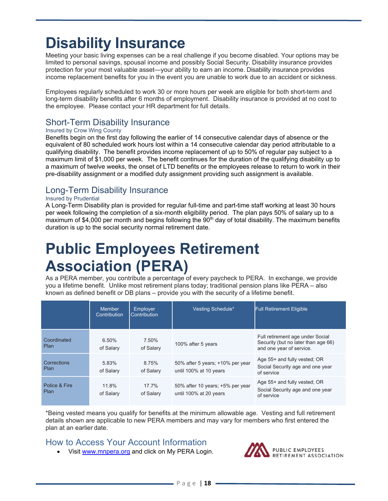# **Disability Insurance**

Meeting your basic living expenses can be a real challenge if you become disabled. Your options may be limited to personal savings, spousal income and possibly Social Security. Disability insurance provides protection for your most valuable asset—your ability to earn an income. Disability insurance provides income replacement benefits for you in the event you are unable to work due to an accident or sickness.

Employees regularly scheduled to work 30 or more hours per week are eligible for both short-term and long-term disability benefits after 6 months of employment. Disability insurance is provided at no cost to the employee. Please contact your HR department for full details.

## Short-Term Disability Insurance

#### Insured by Crow Wing County

Benefits begin on the first day following the earlier of 14 consecutive calendar days of absence or the equivalent of 80 scheduled work hours lost within a 14 consecutive calendar day period attributable to a qualifying disability. The benefit provides income replacement of up to 50% of regular pay subject to a maximum limit of \$1,000 per week. The benefit continues for the duration of the qualifying disability up to a maximum of twelve weeks, the onset of LTD benefits or the employees release to return to work in their pre-disability assignment or a modified duty assignment providing such assignment is available.

### Long-Term Disability Insurance

#### Insured by Prudential

A Long-Term Disability plan is provided for regular full-time and part-time staff working at least 30 hours per week following the completion of a six-month eligibility period. The plan pays 50% of salary up to a maximum of \$4,000 per month and begins following the 90<sup>th</sup> day of total disability. The maximum benefits duration is up to the social security normal retirement date.

# **Public Employees Retirement Association (PERA)**

As a PERA member, you contribute a percentage of every paycheck to PERA. In exchange, we provide you a lifetime benefit. Unlike most retirement plans today; traditional pension plans like PERA – also known as defined benefit or DB plans – provide you with the security of a lifetime benefit.

|                       | <b>Member</b><br>Contribution | Employer<br><b>Contribution</b> | Vesting Schedule*                                          | <b>Full Retirement Eligible</b>                                                                     |
|-----------------------|-------------------------------|---------------------------------|------------------------------------------------------------|-----------------------------------------------------------------------------------------------------|
| Coordinated<br>Plan   | 6.50%<br>of Salary            | 7.50%<br>of Salary              | 100% after 5 years                                         | Full retirement age under Social<br>Security (but no later than age 66)<br>and one year of service. |
| Corrections<br>Plan   | 5.83%<br>of Salary            | 8.75%<br>of Salary              | 50% after 5 years; +10% per year<br>until 100% at 10 years | Age 55+ and fully vested; OR<br>Social Security age and one year<br>of service                      |
| Police & Fire<br>Plan | 11.8%<br>of Salary            | 17.7%<br>of Salary              | 50% after 10 years; +5% per year<br>until 100% at 20 years | Age 55+ and fully vested; OR<br>Social Security age and one year<br>of service                      |

\*Being vested means you qualify for benefits at the minimum allowable age. Vesting and full retirement details shown are applicable to new PERA members and may vary for members who first entered the plan at an earlier date.

### How to Access Your Account Information

• Visit www.mnpera.org and click on My PERA Login.

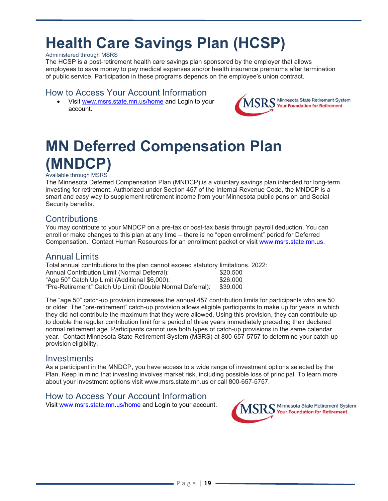# **Health Care Savings Plan (HCSP)**

#### Administered through MSRS

The HCSP is a post-retirement health care savings plan sponsored by the employer that allows employees to save money to pay medical expenses and/or health insurance premiums after termination of public service. Participation in these programs depends on the employee's union contract.

#### How to Access Your Account Information

 Visit www.msrs.state.mn.us/home and Login to your account.



# **MN Deferred Compensation Plan (MNDCP)**

#### Available through MSRS

The Minnesota Deferred Compensation Plan (MNDCP) is a voluntary savings plan intended for long-term investing for retirement. Authorized under Section 457 of the Internal Revenue Code, the MNDCP is a smart and easy way to supplement retirement income from your Minnesota public pension and Social Security benefits.

### **Contributions**

You may contribute to your MNDCP on a pre-tax or post-tax basis through payroll deduction. You can enroll or make changes to this plan at any time – there is no "open enrollment" period for Deferred Compensation. Contact Human Resources for an enrollment packet or visit www.msrs.state.mn.us.

### Annual Limits

Total annual contributions to the plan cannot exceed statutory limitations. 2022: Annual Contribution Limit (Normal Deferral):  $$20,500$ <br>"Age 50" Catch Up Limit (Additional \$6.000): \$26.000 "Age 50" Catch Up Limit (Additional \$6,000): "Pre-Retirement" Catch Up Limit (Double Normal Deferral): \$39,000

The "age 50" catch-up provision increases the annual 457 contribution limits for participants who are 50 or older. The "pre-retirement" catch-up provision allows eligible participants to make up for years in which they did not contribute the maximum that they were allowed. Using this provision, they can contribute up to double the regular contribution limit for a period of three years immediately preceding their declared normal retirement age. Participants cannot use both types of catch-up provisions in the same calendar year. Contact Minnesota State Retirement System (MSRS) at 800-657-5757 to determine your catch-up provision eligibility.

#### **Investments**

As a participant in the MNDCP, you have access to a wide range of investment options selected by the Plan. Keep in mind that investing involves market risk, including possible loss of principal. To learn more about your investment options visit www.msrs.state.mn.us or call 800-657-5757.

#### How to Access Your Account Information

Visit www.msrs.state.mn.us/home and Login to your account.

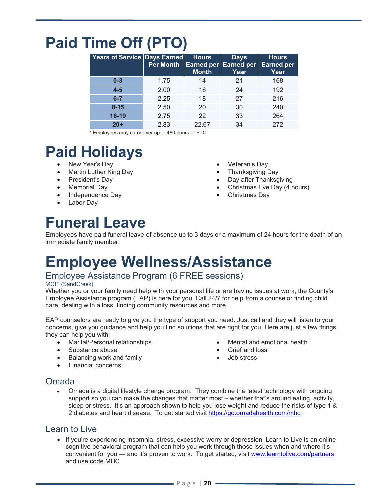# **Paid Time Off (PTO)**

| Years of Service Days Earned | Per Month | <b>Hours</b><br><b>Month</b> | <b>Days</b><br><b>Earned per Earned per</b><br>Year | <b>Hours</b><br><b>Earned per</b><br>Year |
|------------------------------|-----------|------------------------------|-----------------------------------------------------|-------------------------------------------|
| $0 - 3$                      | 1.75      | 14                           | 21                                                  | 168                                       |
| $4-5$                        | 2.00      | 16                           | 24                                                  | 192                                       |
| $6-7$                        | 2.25      | 18                           | 27                                                  | 216                                       |
| $8 - 15$                     | 2.50      | 20                           | 30                                                  | 240                                       |
| 16-19                        | 2.75      | 22                           | 33                                                  | 264                                       |
| $20+$                        | 2.83      | 22.67                        | 34                                                  | 272                                       |

\* Employees may carry over up to 480 hours of PTO.

# **Paid Holidays**

- New Year's Day
- Martin Luther King Day
- President's Day
- Memorial Day
- Independence Day
- Labor Day

Thanksgiving Day

Veteran's Day

- Day after Thanksgiving
- Christmas Eve Day (4 hours)
- Christmas Day

# **Funeral Leave**

Employees have paid funeral leave of absence up to 3 days or a maximum of 24 hours for the death of an immediate family member.

## **Employee Wellness/Assistance**

## Employee Assistance Program (6 FREE sessions)

#### MCIT (SandCreek)

Whether you or your family need help with your personal life or are having issues at work, the County's Employee Assistance program (EAP) is here for you. Call 24/7 for help from a counselor finding child care, dealing with a loss, finding community resources and more.

EAP counselors are ready to give you the type of support you need. Just call and they will listen to your concerns, give you guidance and help you find solutions that are right for you. Here are just a few things they can help you with:

- Marital/Personal relationships
- Substance abuse
- Balancing work and family
- Financial concerns
- Mental and emotional health
- Grief and loss
- Job stress

### Omada

 Omada is a digital lifestyle change program. They combine the latest technology with ongoing support so you can make the changes that matter most – whether that's around eating, activity, sleep or stress. It's an approach shown to help you lose weight and reduce the risks of type 1 & 2 diabetes and heart disease. To get started visit https://go.omadahealth.com/mhc

### Learn to Live

 If you're experiencing insomnia, stress, excessive worry or depression, Learn to Live is an online cognitive behavioral program that can help you work through those issues when and where it's convenient for you — and it's proven to work. To get started, visit www.learntolive.com/partners and use code MHC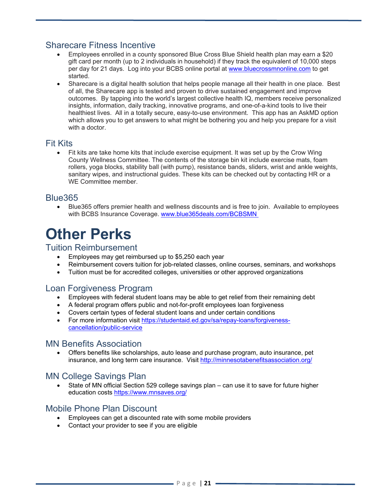### Sharecare Fitness Incentive

- Employees enrolled in a county sponsored Blue Cross Blue Shield health plan may earn a \$20 gift card per month (up to 2 individuals in household) if they track the equivalent of 10,000 steps per day for 21 days. Log into your BCBS online portal at www.bluecrossmnonline.com to get started.
- Sharecare is a digital health solution that helps people manage all their health in one place. Best of all, the Sharecare app is tested and proven to drive sustained engagement and improve outcomes. By tapping into the world's largest collective health IQ, members receive personalized insights, information, daily tracking, innovative programs, and one-of-a-kind tools to live their healthiest lives. All in a totally secure, easy-to-use environment. This app has an AskMD option which allows you to get answers to what might be bothering you and help you prepare for a visit with a doctor.

### Fit Kits

 Fit kits are take home kits that include exercise equipment. It was set up by the Crow Wing County Wellness Committee. The contents of the storage bin kit include exercise mats, foam rollers, yoga blocks, stability ball (with pump), resistance bands, sliders, wrist and ankle weights, sanitary wipes, and instructional guides. These kits can be checked out by contacting HR or a WE Committee member.

### Blue365

 Blue365 offers premier health and wellness discounts and is free to join. Available to employees with BCBS Insurance Coverage. www.blue365deals.com/BCBSMN

## **Other Perks**

### Tuition Reimbursement

- Employees may get reimbursed up to \$5,250 each year
- Reimbursement covers tuition for job-related classes, online courses, seminars, and workshops
- Tuition must be for accredited colleges, universities or other approved organizations

## Loan Forgiveness Program

- Employees with federal student loans may be able to get relief from their remaining debt
- A federal program offers public and not-for-profit employees loan forgiveness
- Covers certain types of federal student loans and under certain conditions
- For more information visit https://studentaid.ed.gov/sa/repay-loans/forgivenesscancellation/public-service

#### MN Benefits Association

 Offers benefits like scholarships, auto lease and purchase program, auto insurance, pet insurance, and long term care insurance. Visit http://minnesotabenefitsassociation.org/

### MN College Savings Plan

 State of MN official Section 529 college savings plan – can use it to save for future higher education costs https://www.mnsaves.org/

### Mobile Phone Plan Discount

- Employees can get a discounted rate with some mobile providers
- Contact your provider to see if you are eligible